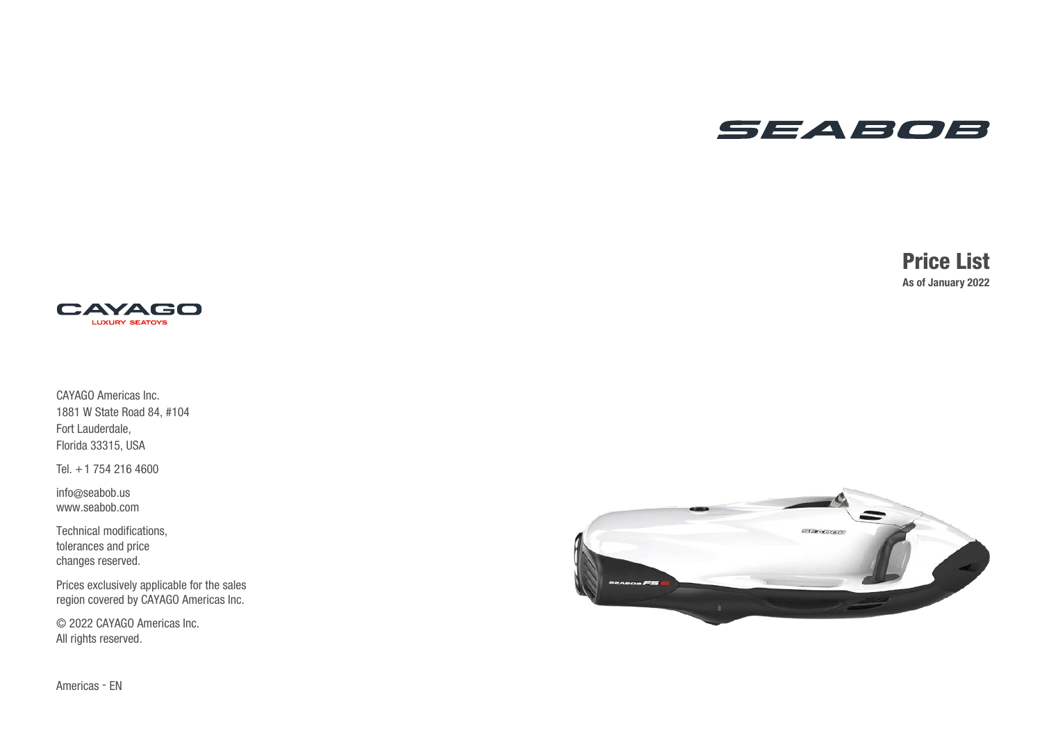## SEABOB

## Price List As of January 2022



CAYAGO Americas Inc. 1881 W State Road 84, #104 Fort Lauderdale, Florida 33315, USA

Tel. +1 754 216 4600

info @seabob.us www.seabob.com

Technical modifications, tolerances and price changes reserved.

Prices exclusively applicable for the sales region covered by CAYAGO Americas Inc.

© 2022 CAYAGO Americas Inc. All rights reserved.



Americas - EN